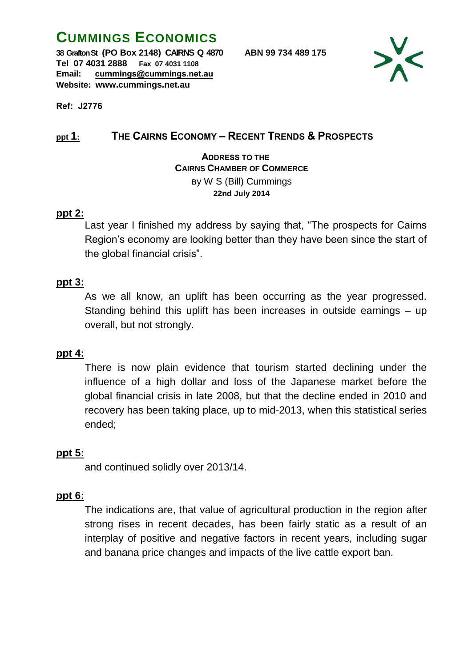# **CUMMINGS ECONOMICS**

**38 Grafton St (PO Box 2148) CAIRNS Q 4870 ABN 99 734 489 175 Tel 07 4031 2888 Fax 07 4031 1108 Email: cummings@cummings.net.au Website: www.cummings.net.au**



**Ref: J2776**

# **ppt 1: THE CAIRNS ECONOMY – RECENT TRENDS & PROSPECTS**

 **ADDRESS TO THE CAIRNS CHAMBER OF COMMERCE B**y W S (Bill) Cummings **22nd July 2014**

## **ppt 2:**

Last year I finished my address by saying that, "The prospects for Cairns Region's economy are looking better than they have been since the start of the global financial crisis".

## **ppt 3:**

As we all know, an uplift has been occurring as the year progressed. Standing behind this uplift has been increases in outside earnings – up overall, but not strongly.

## **ppt 4:**

There is now plain evidence that tourism started declining under the influence of a high dollar and loss of the Japanese market before the global financial crisis in late 2008, but that the decline ended in 2010 and recovery has been taking place, up to mid-2013, when this statistical series ended;

## **ppt 5:**

and continued solidly over 2013/14.

## **ppt 6:**

The indications are, that value of agricultural production in the region after strong rises in recent decades, has been fairly static as a result of an interplay of positive and negative factors in recent years, including sugar and banana price changes and impacts of the live cattle export ban.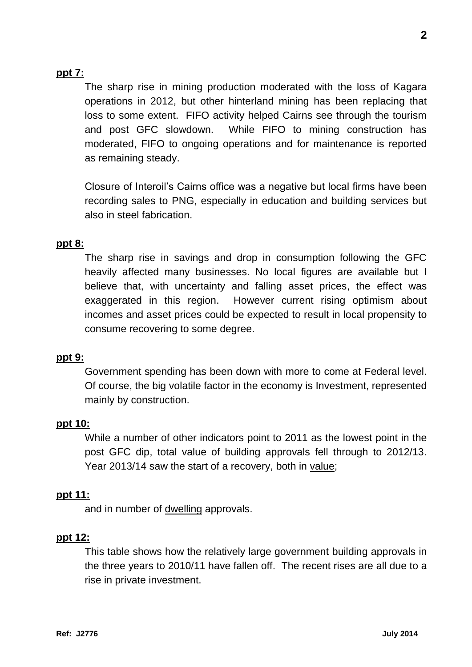## **ppt 7:**

The sharp rise in mining production moderated with the loss of Kagara operations in 2012, but other hinterland mining has been replacing that loss to some extent. FIFO activity helped Cairns see through the tourism and post GFC slowdown. While FIFO to mining construction has moderated, FIFO to ongoing operations and for maintenance is reported as remaining steady.

Closure of Interoil's Cairns office was a negative but local firms have been recording sales to PNG, especially in education and building services but also in steel fabrication.

#### **ppt 8:**

The sharp rise in savings and drop in consumption following the GFC heavily affected many businesses. No local figures are available but I believe that, with uncertainty and falling asset prices, the effect was exaggerated in this region. However current rising optimism about incomes and asset prices could be expected to result in local propensity to consume recovering to some degree.

#### **ppt 9:**

Government spending has been down with more to come at Federal level. Of course, the big volatile factor in the economy is Investment, represented mainly by construction.

#### **ppt 10:**

While a number of other indicators point to 2011 as the lowest point in the post GFC dip, total value of building approvals fell through to 2012/13. Year 2013/14 saw the start of a recovery, both in value;

#### **ppt 11:**

and in number of dwelling approvals.

#### **ppt 12:**

This table shows how the relatively large government building approvals in the three years to 2010/11 have fallen off. The recent rises are all due to a rise in private investment.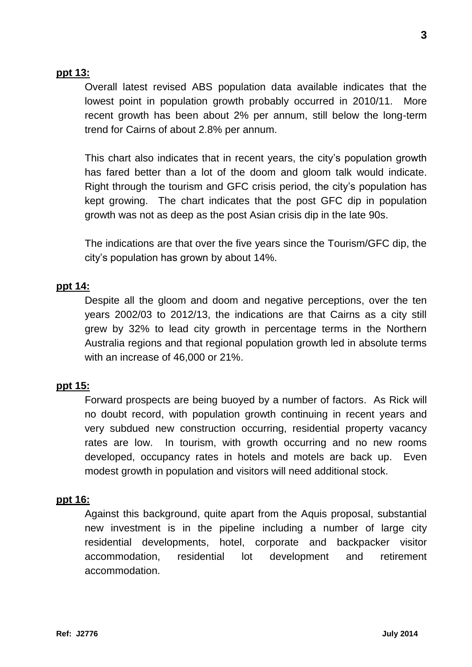## **ppt 13:**

Overall latest revised ABS population data available indicates that the lowest point in population growth probably occurred in 2010/11. More recent growth has been about 2% per annum, still below the long-term trend for Cairns of about 2.8% per annum.

This chart also indicates that in recent years, the city's population growth has fared better than a lot of the doom and gloom talk would indicate. Right through the tourism and GFC crisis period, the city's population has kept growing. The chart indicates that the post GFC dip in population growth was not as deep as the post Asian crisis dip in the late 90s.

The indications are that over the five years since the Tourism/GFC dip, the city's population has grown by about 14%.

## **ppt 14:**

Despite all the gloom and doom and negative perceptions, over the ten years 2002/03 to 2012/13, the indications are that Cairns as a city still grew by 32% to lead city growth in percentage terms in the Northern Australia regions and that regional population growth led in absolute terms with an increase of 46,000 or 21%.

## **ppt 15:**

Forward prospects are being buoyed by a number of factors. As Rick will no doubt record, with population growth continuing in recent years and very subdued new construction occurring, residential property vacancy rates are low. In tourism, with growth occurring and no new rooms developed, occupancy rates in hotels and motels are back up. Even modest growth in population and visitors will need additional stock.

#### **ppt 16:**

Against this background, quite apart from the Aquis proposal, substantial new investment is in the pipeline including a number of large city residential developments, hotel, corporate and backpacker visitor accommodation, residential lot development and retirement accommodation.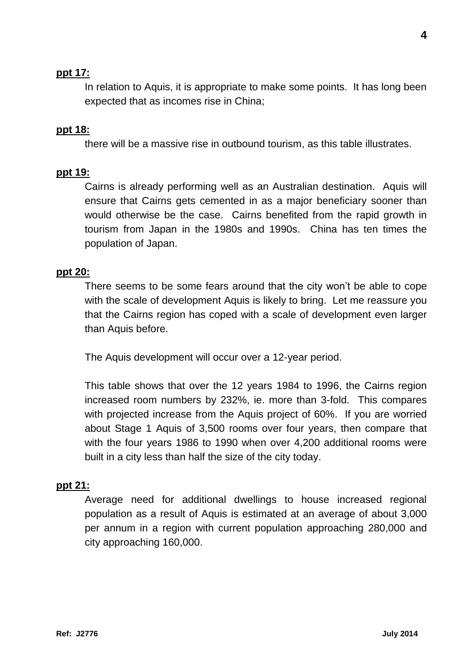## **ppt 17:**

In relation to Aquis, it is appropriate to make some points. It has long been expected that as incomes rise in China;

#### **ppt 18:**

there will be a massive rise in outbound tourism, as this table illustrates.

#### **ppt 19:**

Cairns is already performing well as an Australian destination. Aquis will ensure that Cairns gets cemented in as a major beneficiary sooner than would otherwise be the case. Cairns benefited from the rapid growth in tourism from Japan in the 1980s and 1990s. China has ten times the population of Japan.

#### **ppt 20:**

There seems to be some fears around that the city won't be able to cope with the scale of development Aquis is likely to bring. Let me reassure you that the Cairns region has coped with a scale of development even larger than Aquis before.

The Aquis development will occur over a 12-year period.

This table shows that over the 12 years 1984 to 1996, the Cairns region increased room numbers by 232%, ie. more than 3-fold. This compares with projected increase from the Aquis project of 60%. If you are worried about Stage 1 Aquis of 3,500 rooms over four years, then compare that with the four years 1986 to 1990 when over 4,200 additional rooms were built in a city less than half the size of the city today.

#### **ppt 21:**

Average need for additional dwellings to house increased regional population as a result of Aquis is estimated at an average of about 3,000 per annum in a region with current population approaching 280,000 and city approaching 160,000.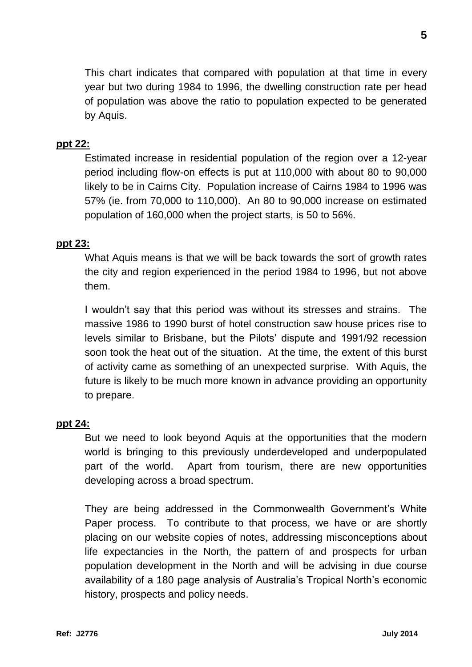This chart indicates that compared with population at that time in every year but two during 1984 to 1996, the dwelling construction rate per head of population was above the ratio to population expected to be generated by Aquis.

## **ppt 22:**

Estimated increase in residential population of the region over a 12-year period including flow-on effects is put at 110,000 with about 80 to 90,000 likely to be in Cairns City. Population increase of Cairns 1984 to 1996 was 57% (ie. from 70,000 to 110,000). An 80 to 90,000 increase on estimated population of 160,000 when the project starts, is 50 to 56%.

#### **ppt 23:**

What Aquis means is that we will be back towards the sort of growth rates the city and region experienced in the period 1984 to 1996, but not above them.

I wouldn't say that this period was without its stresses and strains. The massive 1986 to 1990 burst of hotel construction saw house prices rise to levels similar to Brisbane, but the Pilots' dispute and 1991/92 recession soon took the heat out of the situation. At the time, the extent of this burst of activity came as something of an unexpected surprise. With Aquis, the future is likely to be much more known in advance providing an opportunity to prepare.

## **ppt 24:**

But we need to look beyond Aquis at the opportunities that the modern world is bringing to this previously underdeveloped and underpopulated part of the world. Apart from tourism, there are new opportunities developing across a broad spectrum.

They are being addressed in the Commonwealth Government's White Paper process. To contribute to that process, we have or are shortly placing on our website copies of notes, addressing misconceptions about life expectancies in the North, the pattern of and prospects for urban population development in the North and will be advising in due course availability of a 180 page analysis of Australia's Tropical North's economic history, prospects and policy needs.